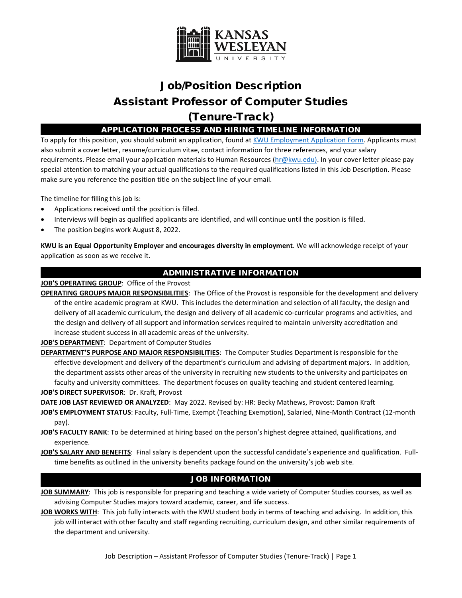

# Job/Position Description Assistant Professor of Computer Studies (Tenure-Track)

APPLICATION PROCESS AND HIRING TIMELINE INFORMATION

To apply for this position, you should submit an application, found a[t KWU Employment Application Form.](http://www.kwu.edu/sites/default/files/Employment%20Application%20Form-ELECTRONIC%20%28Revised%203-.pdf) Applicants must also submit a cover letter, resume/curriculum vitae, contact information for three references, and your salary requirements. Please email your application materials to Human Resources [\(hr@kwu.edu\)](mailto:hr@kwu.edu). In your cover letter please pay special attention to matching your actual qualifications to the required qualifications listed in this Job Description. Please make sure you reference the position title on the subject line of your email.

The timeline for filling this job is:

- Applications received until the position is filled.
- Interviews will begin as qualified applicants are identified, and will continue until the position is filled.
- The position begins work August 8, 2022.

**KWU is an Equal Opportunity Employer and encourages diversity in employment**. We will acknowledge receipt of your application as soon as we receive it.

## ADMINISTRATIVE INFORMATION

**JOB'S OPERATING GROUP**: Office of the Provost

**OPERATING GROUPS MAJOR RESPONSIBILITIES**: The Office of the Provost is responsible for the development and delivery of the entire academic program at KWU. This includes the determination and selection of all faculty, the design and delivery of all academic curriculum, the design and delivery of all academic co-curricular programs and activities, and the design and delivery of all support and information services required to maintain university accreditation and increase student success in all academic areas of the university.

**JOB'S DEPARTMENT**: Department of Computer Studies

**DEPARTMENT'S PURPOSE AND MAJOR RESPONSIBILITIES**: The Computer Studies Department is responsible for the effective development and delivery of the department's curriculum and advising of department majors. In addition, the department assists other areas of the university in recruiting new students to the university and participates on faculty and university committees. The department focuses on quality teaching and student centered learning. **JOB'S DIRECT SUPERVISOR**: Dr. Kraft, Provost

**DATE JOB LAST REVIEWED OR ANALYZED**: May 2022. Revised by: HR: Becky Mathews, Provost: Damon Kraft

**JOB'S EMPLOYMENT STATUS**: Faculty, Full-Time, Exempt (Teaching Exemption), Salaried, Nine-Month Contract (12-month pay).

- **JOB'S FACULTY RANK**: To be determined at hiring based on the person's highest degree attained, qualifications, and experience.
- **JOB'S SALARY AND BENEFITS**: Final salary is dependent upon the successful candidate's experience and qualification. Fulltime benefits as outlined in the university benefits package found on the university's job web site.

# JOB INFORMATION

**JOB SUMMARY**: This job is responsible for preparing and teaching a wide variety of Computer Studies courses, as well as advising Computer Studies majors toward academic, career, and life success.

**JOB WORKS WITH**: This job fully interacts with the KWU student body in terms of teaching and advising. In addition, this job will interact with other faculty and staff regarding recruiting, curriculum design, and other similar requirements of the department and university.

Job Description – Assistant Professor of Computer Studies (Tenure-Track) | Page 1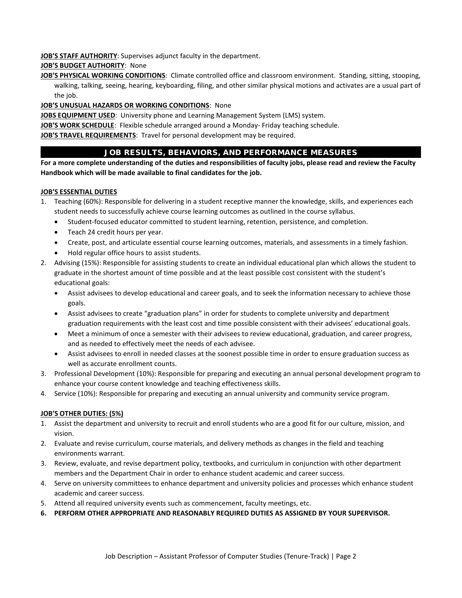**JOB'S STAFF AUTHORITY**: Supervises adjunct faculty in the department.

#### **JOB'S BUDGET AUTHORITY**: None

**JOB'S PHYSICAL WORKING CONDITIONS**: Climate controlled office and classroom environment. Standing, sitting, stooping, walking, talking, seeing, hearing, keyboarding, filing, and other similar physical motions and activates are a usual part of the job.

#### **JOB'S UNUSUAL HAZARDS OR WORKING CONDITIONS**: None

**JOBS EQUIPMENT USED**: University phone and Learning Management System (LMS) system.

**JOB'S WORK SCHEDULE**: Flexible schedule arranged around a Monday- Friday teaching schedule.

**JOB'S TRAVEL REQUIREMENTS**: Travel for personal development may be required.

# JOB RESULTS, BEHAVIORS, AND PERFORMANCE MEASURES

**For a more complete understanding of the duties and responsibilities of faculty jobs, please read and review the Faculty Handbook which will be made available to final candidates for the job.**

#### **JOB'S ESSENTIAL DUTIES**

- 1. Teaching (60%): Responsible for delivering in a student receptive manner the knowledge, skills, and experiences each student needs to successfully achieve course learning outcomes as outlined in the course syllabus.
	- Student-focused educator committed to student learning, retention, persistence, and completion.
	- Teach 24 credit hours per year.
	- Create, post, and articulate essential course learning outcomes, materials, and assessments in a timely fashion.
	- Hold regular office hours to assist students.
- 2. Advising (15%): Responsible for assisting students to create an individual educational plan which allows the student to graduate in the shortest amount of time possible and at the least possible cost consistent with the student's educational goals:
	- Assist advisees to develop educational and career goals, and to seek the information necessary to achieve those goals.
	- Assist advisees to create "graduation plans" in order for students to complete university and department graduation requirements with the least cost and time possible consistent with their advisees' educational goals.
	- Meet a minimum of once a semester with their advisees to review educational, graduation, and career progress, and as needed to effectively meet the needs of each advisee.
	- Assist advisees to enroll in needed classes at the soonest possible time in order to ensure graduation success as well as accurate enrollment counts.
- 3. Professional Development (10%): Responsible for preparing and executing an annual personal development program to enhance your course content knowledge and teaching effectiveness skills.
- 4. Service (10%): Responsible for preparing and executing an annual university and community service program.

#### **JOB'S OTHER DUTIES: (5%)**

- 1. Assist the department and university to recruit and enroll students who are a good fit for our culture, mission, and vision.
- 2. Evaluate and revise curriculum, course materials, and delivery methods as changes in the field and teaching environments warrant.
- 3. Review, evaluate, and revise department policy, textbooks, and curriculum in conjunction with other department members and the Department Chair in order to enhance student academic and career success.
- 4. Serve on university committees to enhance department and university policies and processes which enhance student academic and career success.
- 5. Attend all required university events such as commencement, faculty meetings, etc.
- **6. PERFORM OTHER APPROPRIATE AND REASONABLY REQUIRED DUTIES AS ASSIGNED BY YOUR SUPERVISOR.**